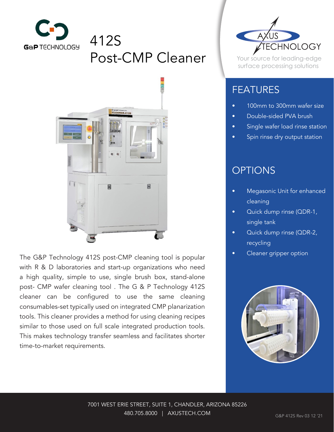

# 412S Post-CMP Cleaner



The G&P Technology 412S post-CMP cleaning tool is popular with R & D laboratories and start-up organizations who need a high quality, simple to use, single brush box, stand-alone post- CMP wafer cleaning tool . The G & P Technology 412S cleaner can be configured to use the same cleaning consumables-set typically used on integrated CMP planarization tools. This cleaner provides a method for using cleaning recipes similar to those used on full scale integrated production tools. This makes technology transfer seamless and facilitates shorter time-to-market requirements.



Your source for leading-edge surface processing solutions

## FEATURES

- 100mm to 300mm wafer size
- Double-sided PVA brush
- Single wafer load rinse station
- Spin rinse dry output station

## **OPTIONS**

- Megasonic Unit for enhanced cleaning
- Quick dump rinse (QDR-1, single tank
- Quick dump rinse (QDR-2, recycling
- Cleaner gripper option